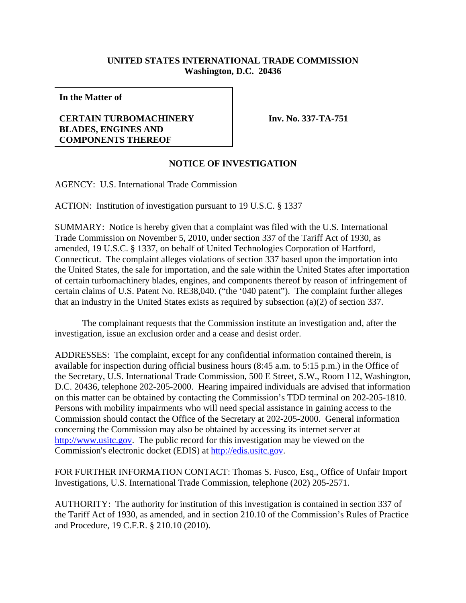## **UNITED STATES INTERNATIONAL TRADE COMMISSION Washington, D.C. 20436**

**In the Matter of**

## **CERTAIN TURBOMACHINERY BLADES, ENGINES AND COMPONENTS THEREOF**

**Inv. No. 337-TA-751**

## **NOTICE OF INVESTIGATION**

AGENCY: U.S. International Trade Commission

ACTION: Institution of investigation pursuant to 19 U.S.C. § 1337

SUMMARY: Notice is hereby given that a complaint was filed with the U.S. International Trade Commission on November 5, 2010, under section 337 of the Tariff Act of 1930, as amended, 19 U.S.C. § 1337, on behalf of United Technologies Corporation of Hartford, Connecticut. The complaint alleges violations of section 337 based upon the importation into the United States, the sale for importation, and the sale within the United States after importation of certain turbomachinery blades, engines, and components thereof by reason of infringement of certain claims of U.S. Patent No. RE38,040. ("the '040 patent"). The complaint further alleges that an industry in the United States exists as required by subsection (a)(2) of section 337.

The complainant requests that the Commission institute an investigation and, after the investigation, issue an exclusion order and a cease and desist order.

ADDRESSES: The complaint, except for any confidential information contained therein, is available for inspection during official business hours (8:45 a.m. to 5:15 p.m.) in the Office of the Secretary, U.S. International Trade Commission, 500 E Street, S.W., Room 112, Washington, D.C. 20436, telephone 202-205-2000. Hearing impaired individuals are advised that information on this matter can be obtained by contacting the Commission's TDD terminal on 202-205-1810. Persons with mobility impairments who will need special assistance in gaining access to the Commission should contact the Office of the Secretary at 202-205-2000. General information concerning the Commission may also be obtained by accessing its internet server at http://www.usitc.gov. The public record for this investigation may be viewed on the Commission's electronic docket (EDIS) at http://edis.usitc.gov.

FOR FURTHER INFORMATION CONTACT: Thomas S. Fusco, Esq., Office of Unfair Import Investigations, U.S. International Trade Commission, telephone (202) 205-2571.

AUTHORITY: The authority for institution of this investigation is contained in section 337 of the Tariff Act of 1930, as amended, and in section 210.10 of the Commission's Rules of Practice and Procedure, 19 C.F.R. § 210.10 (2010).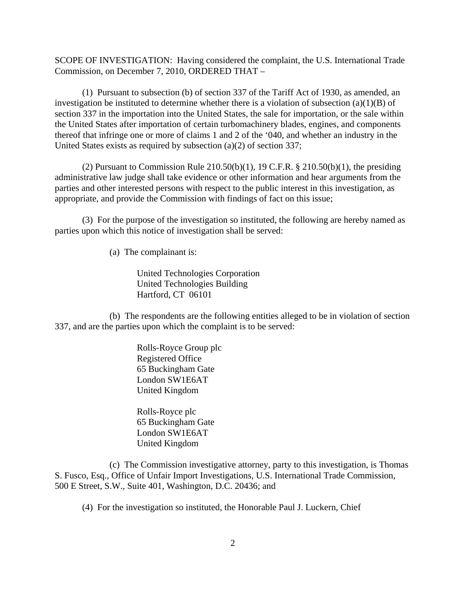SCOPE OF INVESTIGATION: Having considered the complaint, the U.S. International Trade Commission, on December 7, 2010, ORDERED THAT –

(1) Pursuant to subsection (b) of section 337 of the Tariff Act of 1930, as amended, an investigation be instituted to determine whether there is a violation of subsection  $(a)(1)(B)$  of section 337 in the importation into the United States, the sale for importation, or the sale within the United States after importation of certain turbomachinery blades, engines, and components thereof that infringe one or more of claims 1 and 2 of the '040, and whether an industry in the United States exists as required by subsection (a)(2) of section 337;

(2) Pursuant to Commission Rule  $210.50(b)(1)$ , 19 C.F.R. §  $210.50(b)(1)$ , the presiding administrative law judge shall take evidence or other information and hear arguments from the parties and other interested persons with respect to the public interest in this investigation, as appropriate, and provide the Commission with findings of fact on this issue;

(3) For the purpose of the investigation so instituted, the following are hereby named as parties upon which this notice of investigation shall be served:

(a) The complainant is:

United Technologies Corporation United Technologies Building Hartford, CT 06101

(b) The respondents are the following entities alleged to be in violation of section 337, and are the parties upon which the complaint is to be served:

> Rolls-Royce Group plc Registered Office 65 Buckingham Gate London SW1E6AT United Kingdom

Rolls-Royce plc 65 Buckingham Gate London SW1E6AT United Kingdom

(c) The Commission investigative attorney, party to this investigation, is Thomas S. Fusco, Esq., Office of Unfair Import Investigations, U.S. International Trade Commission, 500 E Street, S.W., Suite 401, Washington, D.C. 20436; and

(4) For the investigation so instituted, the Honorable Paul J. Luckern, Chief